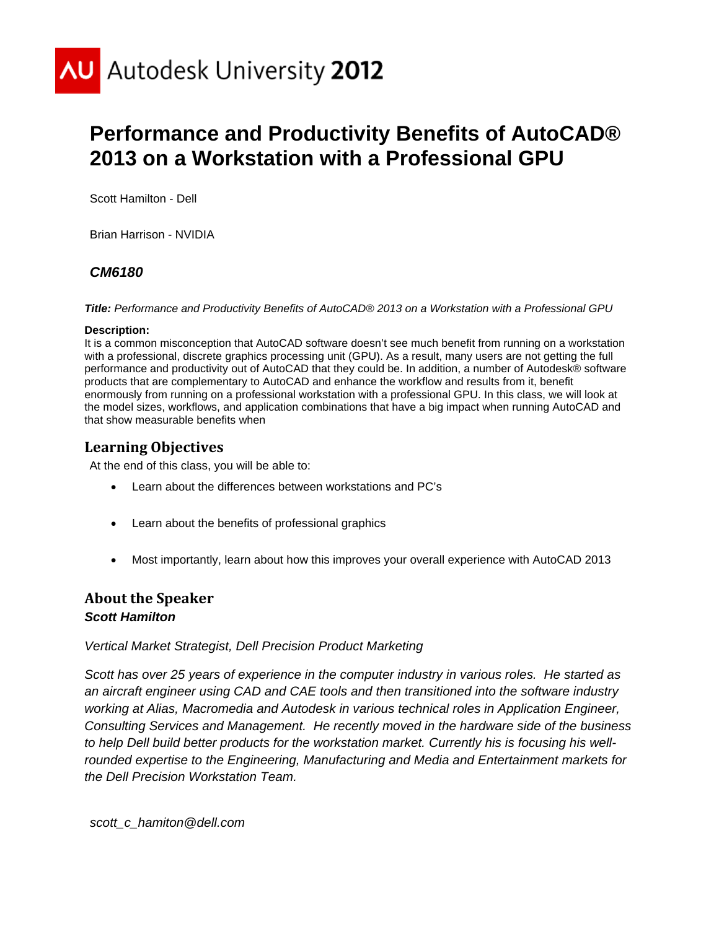

# **Performance and Productivity Benefits of AutoCAD® 2013 on a Workstation with a Professional GPU**

Scott Hamilton - Dell

Brian Harrison - NVIDIA

## *CM6180*

*Title: Performance and Productivity Benefits of AutoCAD® 2013 on a Workstation with a Professional GPU* 

#### **Description:**

It is a common misconception that AutoCAD software doesn't see much benefit from running on a workstation with a professional, discrete graphics processing unit (GPU). As a result, many users are not getting the full performance and productivity out of AutoCAD that they could be. In addition, a number of Autodesk® software products that are complementary to AutoCAD and enhance the workflow and results from it, benefit enormously from running on a professional workstation with a professional GPU. In this class, we will look at the model sizes, workflows, and application combinations that have a big impact when running AutoCAD and that show measurable benefits when

## **Learning Objectives**

At the end of this class, you will be able to:

- Learn about the differences between workstations and PC's
- Learn about the benefits of professional graphics
- Most importantly, learn about how this improves your overall experience with AutoCAD 2013

## **About the Speaker** *Scott Hamilton*

#### *Vertical Market Strategist, Dell Precision Product Marketing*

*Scott has over 25 years of experience in the computer industry in various roles. He started as an aircraft engineer using CAD and CAE tools and then transitioned into the software industry working at Alias, Macromedia and Autodesk in various technical roles in Application Engineer, Consulting Services and Management. He recently moved in the hardware side of the business to help Dell build better products for the workstation market. Currently his is focusing his wellrounded expertise to the Engineering, Manufacturing and Media and Entertainment markets for the Dell Precision Workstation Team.* 

*scott\_c\_hamiton@dell.com*